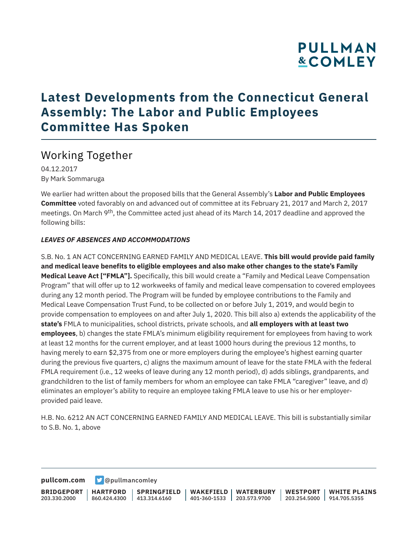## **Latest Developments from the Connecticut General Assembly: The Labor and Public Employees Committee Has Spoken**

### Working Together

04.12.2017 By Mark Sommaruga

We earlier had written about the proposed bills that the General Assembly's **Labor and Public Employees Committee** voted favorably on and advanced out of committee at its February 21, 2017 and March 2, 2017 meetings. On March 9<sup>th</sup>, the Committee acted just ahead of its March 14, 2017 deadline and approved the following bills:

#### *LEAVES OF ABSENCES AND ACCOMMODATIONS*

S.B. No. 1 AN ACT CONCERNING EARNED FAMILY AND MEDICAL LEAVE. **This bill would provide paid family and medical leave benefits to eligible employees and also make other changes to the state's Family Medical Leave Act ["FMLA"].** Specifically, this bill would create a "Family and Medical Leave Compensation Program" that will offer up to 12 workweeks of family and medical leave compensation to covered employees during any 12 month period. The Program will be funded by employee contributions to the Family and Medical Leave Compensation Trust Fund, to be collected on or before July 1, 2019, and would begin to provide compensation to employees on and after July 1, 2020. This bill also a) extends the applicability of the **state's** FMLA to municipalities, school districts, private schools, and **all employers with at least two employees**, b) changes the state FMLA's minimum eligibility requirement for employees from having to work at least 12 months for the current employer, and at least 1000 hours during the previous 12 months, to having merely to earn \$2,375 from one or more employers during the employee's highest earning quarter during the previous five quarters, c) aligns the maximum amount of leave for the state FMLA with the federal FMLA requirement (i.e., 12 weeks of leave during any 12 month period), d) adds siblings, grandparents, and grandchildren to the list of family members for whom an employee can take FMLA "caregiver" leave, and d) eliminates an employer's ability to require an employee taking FMLA leave to use his or her employerprovided paid leave.

H.B. No. 6212 AN ACT CONCERNING EARNED FAMILY AND MEDICAL LEAVE. This bill is substantially similar to S.B. No. 1, above

**[pullcom.com](https://www.pullcom.com) g** [@pullmancomley](https://twitter.com/PullmanComley)

**BRIDGEPORT** 203.330.2000 **HARTFORD** 860.424.4300 413.314.6160 **SPRINGFIELD WAKEFIELD WATERBURY** 401-360-1533 203.573.9700 **WESTPORT WHITE PLAINS** 203.254.5000 914.705.5355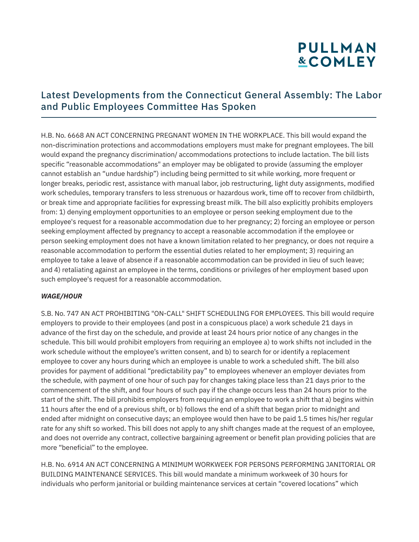### Latest Developments from the Connecticut General Assembly: The Labor and Public Employees Committee Has Spoken

H.B. No. 6668 AN ACT CONCERNING PREGNANT WOMEN IN THE WORKPLACE. This bill would expand the non-discrimination protections and accommodations employers must make for pregnant employees. The bill would expand the pregnancy discrimination/ accommodations protections to include lactation. The bill lists specific "reasonable accommodations" an employer may be obligated to provide (assuming the employer cannot establish an "undue hardship") including being permitted to sit while working, more frequent or longer breaks, periodic rest, assistance with manual labor, job restructuring, light duty assignments, modified work schedules, temporary transfers to less strenuous or hazardous work, time off to recover from childbirth, or break time and appropriate facilities for expressing breast milk. The bill also explicitly prohibits employers from: 1) denying employment opportunities to an employee or person seeking employment due to the employee's request for a reasonable accommodation due to her pregnancy; 2) forcing an employee or person seeking employment affected by pregnancy to accept a reasonable accommodation if the employee or person seeking employment does not have a known limitation related to her pregnancy, or does not require a reasonable accommodation to perform the essential duties related to her employment; 3) requiring an employee to take a leave of absence if a reasonable accommodation can be provided in lieu of such leave; and 4) retaliating against an employee in the terms, conditions or privileges of her employment based upon such employee's request for a reasonable accommodation.

#### *WAGE/HOUR*

S.B. No. 747 AN ACT PROHIBITING "ON-CALL" SHIFT SCHEDULING FOR EMPLOYEES. This bill would require employers to provide to their employees (and post in a conspicuous place) a work schedule 21 days in advance of the first day on the schedule, and provide at least 24 hours prior notice of any changes in the schedule. This bill would prohibit employers from requiring an employee a) to work shifts not included in the work schedule without the employee's written consent, and b) to search for or identify a replacement employee to cover any hours during which an employee is unable to work a scheduled shift. The bill also provides for payment of additional "predictability pay" to employees whenever an employer deviates from the schedule, with payment of one hour of such pay for changes taking place less than 21 days prior to the commencement of the shift, and four hours of such pay if the change occurs less than 24 hours prior to the start of the shift. The bill prohibits employers from requiring an employee to work a shift that a) begins within 11 hours after the end of a previous shift, or b) follows the end of a shift that began prior to midnight and ended after midnight on consecutive days; an employee would then have to be paid 1.5 times his/her regular rate for any shift so worked. This bill does not apply to any shift changes made at the request of an employee, and does not override any contract, collective bargaining agreement or benefit plan providing policies that are more "beneficial" to the employee.

H.B. No. 6914 AN ACT CONCERNING A MINIMUM WORKWEEK FOR PERSONS PERFORMING JANITORIAL OR BUILDING MAINTENANCE SERVICES. This bill would mandate a minimum workweek of 30 hours for individuals who perform janitorial or building maintenance services at certain "covered locations" which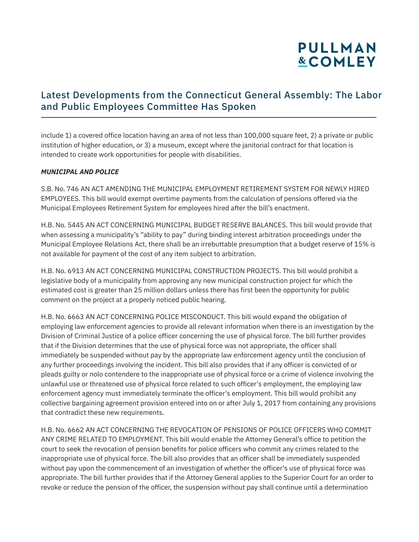### Latest Developments from the Connecticut General Assembly: The Labor and Public Employees Committee Has Spoken

include 1) a covered office location having an area of not less than 100,000 square feet, 2) a private or public institution of higher education, or 3) a museum, except where the janitorial contract for that location is intended to create work opportunities for people with disabilities.

#### *MUNICIPAL AND POLICE*

S.B. No. 746 AN ACT AMENDING THE MUNICIPAL EMPLOYMENT RETIREMENT SYSTEM FOR NEWLY HIRED EMPLOYEES. This bill would exempt overtime payments from the calculation of pensions offered via the Municipal Employees Retirement System for employees hired after the bill's enactment.

H.B. No. 5445 AN ACT CONCERNING MUNICIPAL BUDGET RESERVE BALANCES. This bill would provide that when assessing a municipality's "ability to pay" during binding interest arbitration proceedings under the Municipal Employee Relations Act, there shall be an irrebuttable presumption that a budget reserve of 15% is not available for payment of the cost of any item subject to arbitration.

H.B. No. 6913 AN ACT CONCERNING MUNICIPAL CONSTRUCTION PROJECTS. This bill would prohibit a legislative body of a municipality from approving any new municipal construction project for which the estimated cost is greater than 25 million dollars unless there has first been the opportunity for public comment on the project at a properly noticed public hearing.

H.B. No. 6663 AN ACT CONCERNING POLICE MISCONDUCT. This bill would expand the obligation of employing law enforcement agencies to provide all relevant information when there is an investigation by the Division of Criminal Justice of a police officer concerning the use of physical force. The bill further provides that if the Division determines that the use of physical force was not appropriate, the officer shall immediately be suspended without pay by the appropriate law enforcement agency until the conclusion of any further proceedings involving the incident. This bill also provides that if any officer is convicted of or pleads guilty or nolo contendere to the inappropriate use of physical force or a crime of violence involving the unlawful use or threatened use of physical force related to such officer's employment, the employing law enforcement agency must immediately terminate the officer's employment. This bill would prohibit any collective bargaining agreement provision entered into on or after July 1, 2017 from containing any provisions that contradict these new requirements.

H.B. No. 6662 AN ACT CONCERNING THE REVOCATION OF PENSIONS OF POLICE OFFICERS WHO COMMIT ANY CRIME RELATED TO EMPLOYMENT. This bill would enable the Attorney General's office to petition the court to seek the revocation of pension benefits for police officers who commit any crimes related to the inappropriate use of physical force. The bill also provides that an officer shall be immediately suspended without pay upon the commencement of an investigation of whether the officer's use of physical force was appropriate. The bill further provides that if the Attorney General applies to the Superior Court for an order to revoke or reduce the pension of the officer, the suspension without pay shall continue until a determination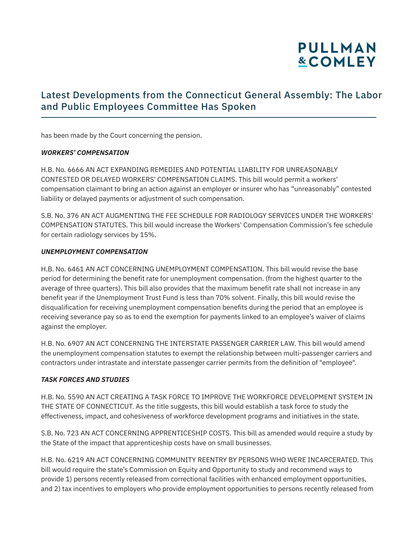### Latest Developments from the Connecticut General Assembly: The Labor and Public Employees Committee Has Spoken

has been made by the Court concerning the pension.

#### *WORKERS' COMPENSATION*

H.B. No. 6666 AN ACT EXPANDING REMEDIES AND POTENTIAL LIABILITY FOR UNREASONABLY CONTESTED OR DELAYED WORKERS' COMPENSATION CLAIMS. This bill would permit a workers' compensation claimant to bring an action against an employer or insurer who has "unreasonably" contested liability or delayed payments or adjustment of such compensation.

S.B. No. 376 AN ACT AUGMENTING THE FEE SCHEDULE FOR RADIOLOGY SERVICES UNDER THE WORKERS' COMPENSATION STATUTES. This bill would increase the Workers' Compensation Commission's fee schedule for certain radiology services by 15%.

#### *UNEMPLOYMENT COMPENSATION*

H.B. No. 6461 AN ACT CONCERNING UNEMPLOYMENT COMPENSATION. This bill would revise the base period for determining the benefit rate for unemployment compensation. (from the highest quarter to the average of three quarters). This bill also provides that the maximum benefit rate shall not increase in any benefit year if the Unemployment Trust Fund is less than 70% solvent. Finally, this bill would revise the disqualification for receiving unemployment compensation benefits during the period that an employee is receiving severance pay so as to end the exemption for payments linked to an employee's waiver of claims against the employer.

H.B. No. 6907 AN ACT CONCERNING THE INTERSTATE PASSENGER CARRIER LAW. This bill would amend the unemployment compensation statutes to exempt the relationship between multi-passenger carriers and contractors under intrastate and interstate passenger carrier permits from the definition of "employee".

#### *TASK FORCES AND STUDIES*

H.B. No. 5590 AN ACT CREATING A TASK FORCE TO IMPROVE THE WORKFORCE DEVELOPMENT SYSTEM IN THE STATE OF CONNECTICUT. As the title suggests, this bill would establish a task force to study the effectiveness, impact, and cohesiveness of workforce development programs and initiatives in the state.

S.B. No. 723 AN ACT CONCERNING APPRENTICESHIP COSTS. This bill as amended would require a study by the State of the impact that apprenticeship costs have on small businesses.

H.B. No. 6219 AN ACT CONCERNING COMMUNITY REENTRY BY PERSONS WHO WERE INCARCERATED. This bill would require the state's Commission on Equity and Opportunity to study and recommend ways to provide 1) persons recently released from correctional facilities with enhanced employment opportunities, and 2) tax incentives to employers who provide employment opportunities to persons recently released from